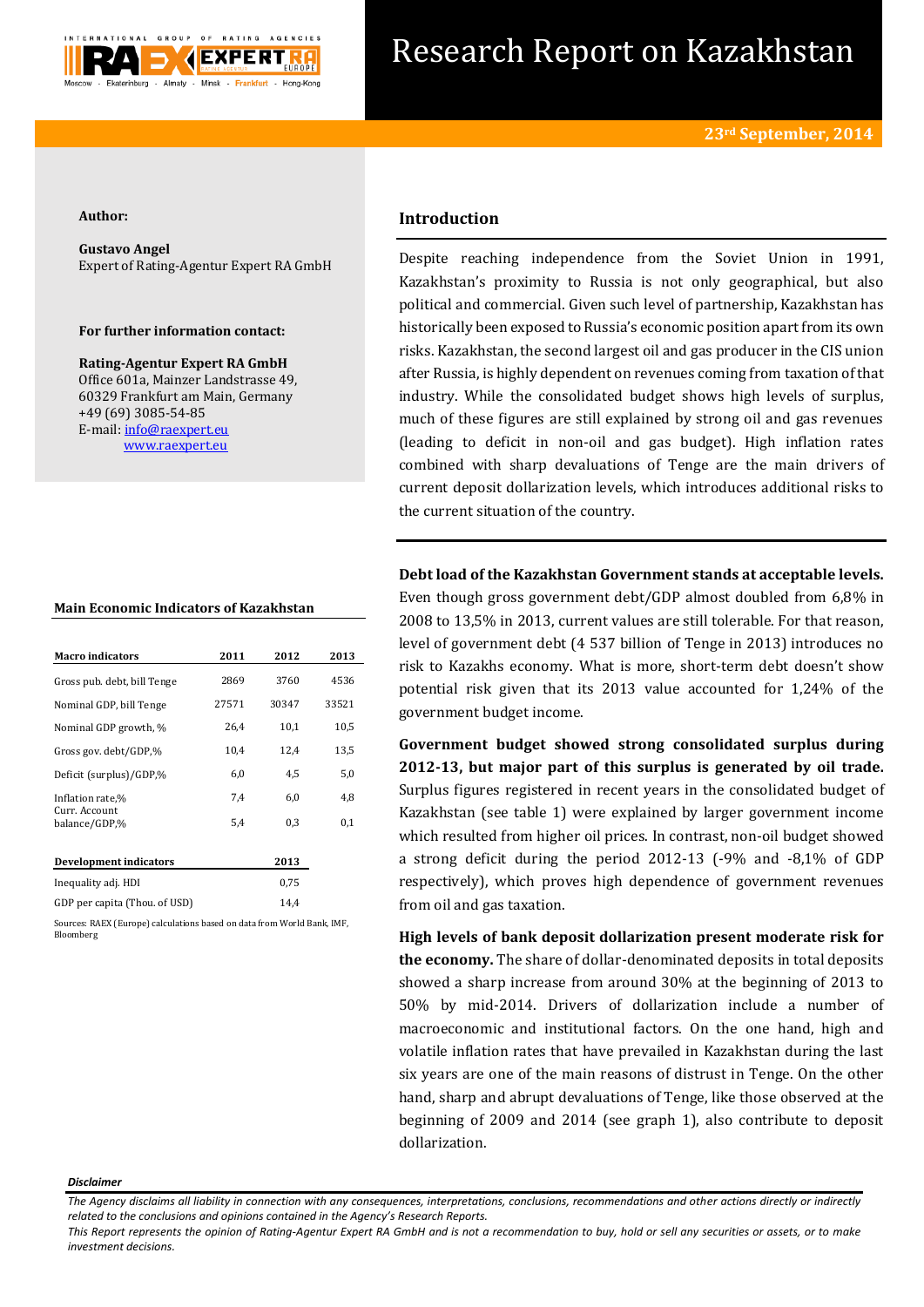

# Research Report on Kazakhstan

### **Author:**

**Gustavo Angel** Expert of Rating-Agentur Expert RA GmbH

## **For further information contact:**

**Rating-Agentur Expert RA GmbH** Office 601a, Mainzer Landstrasse 49, 60329 Frankfurt am Main, Germany +49 (69) 3085-54-85 E-mail[: info@raexpert.eu](mailto:info@raexpert.eu) [www.raexpert.eu](http://raexpert.eu/)

### **Main Economic Indicators of Kazakhstan**

| <b>Macro indicators</b>        | 2011  | 2012  | 2013  |
|--------------------------------|-------|-------|-------|
| Gross pub. debt, bill Tenge    | 2869  | 3760  | 4536  |
| Nominal GDP, bill Tenge        | 27571 | 30347 | 33521 |
| Nominal GDP growth, %          | 26.4  | 10.1  | 10,5  |
| Gross gov. debt/GDP,%          | 10,4  | 12,4  | 13,5  |
| Deficit (surplus)/GDP,%        | 6,0   | 4.5   | 5,0   |
| Inflation rate,%               | 7.4   | 6,0   | 4,8   |
| Curr. Account<br>balance/GDP,% | 5,4   | 0,3   | 0,1   |
| Development indicators         |       | 2013  |       |
| Inequality adj. HDI            |       | 0,75  |       |

GDP per capita (Thou. of USD) 14.4 Sources: RAEX (Europe) calculations based on data from World Bank, IMF,

Bloomberg

# **Introduction**

Despite reaching independence from the Soviet Union in 1991, Kazakhstan's proximity to Russia is not only geographical, but also political and commercial. Given such level of partnership, Kazakhstan has historically been exposed to Russia's economic position apart from its own risks. Kazakhstan, the second largest oil and gas producer in the CIS union after Russia, is highly dependent on revenues coming from taxation of that industry. While the consolidated budget shows high levels of surplus, much of these figures are still explained by strong oil and gas revenues (leading to deficit in non-oil and gas budget). High inflation rates combined with sharp devaluations of Tenge are the main drivers of current deposit dollarization levels, which introduces additional risks to the current situation of the country.

**Debt load of the Kazakhstan Government stands at acceptable levels.**  Even though gross government debt/GDP almost doubled from 6,8% in 2008 to 13,5% in 2013, current values are still tolerable. For that reason, level of government debt (4 537 billion of Tenge in 2013) introduces no risk to Kazakhs economy. What is more, short-term debt doesn't show potential risk given that its 2013 value accounted for 1,24% of the government budget income.

**Government budget showed strong consolidated surplus during 2012-13, but major part of this surplus is generated by oil trade.** Surplus figures registered in recent years in the consolidated budget of Kazakhstan (see table 1) were explained by larger government income which resulted from higher oil prices. In contrast, non-oil budget showed a strong deficit during the period 2012-13 (-9% and -8,1% of GDP respectively), which proves high dependence of government revenues from oil and gas taxation.

**High levels of bank deposit dollarization present moderate risk for the economy.** The share of dollar-denominated deposits in total deposits showed a sharp increase from around 30% at the beginning of 2013 to 50% by mid-2014. Drivers of dollarization include a number of macroeconomic and institutional factors. On the one hand, high and volatile inflation rates that have prevailed in Kazakhstan during the last six years are one of the main reasons of distrust in Tenge. On the other hand, sharp and abrupt devaluations of Tenge, like those observed at the beginning of 2009 and 2014 (see graph 1), also contribute to deposit dollarization.

#### *Disclaimer*

*This Report represents the opinion of Rating-Agentur Expert RA GmbH and is not a recommendation to buy, hold or sell any securities or assets, or to make investment decisions.*

*The Agency disclaims all liability in connection with any consequences, interpretations, conclusions, recommendations and other actions directly or indirectly related to the conclusions and opinions contained in the Agency's Research Reports.*